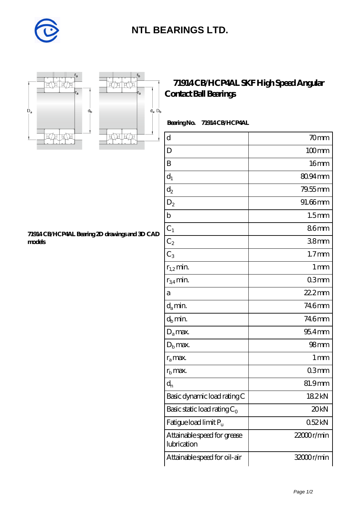

## **[NTL BEARINGS LTD.](https://diabetesfriends.net)**





## **[71914 CB/HCP4AL SKF High Speed Angular](https://diabetesfriends.net/skf-bearing/71914-cb-hcp4al.html) [Contact Ball Bearings](https://diabetesfriends.net/skf-bearing/71914-cb-hcp4al.html)**

 **Bearing No. 71914 CB/HCP4AL**

| $\mathbf d$                                | 70 <sub>mm</sub>  |
|--------------------------------------------|-------------------|
| D                                          | $100$ mm          |
| B                                          | 16 <sub>mm</sub>  |
| $\mathbf{d}_1$                             | 80.94mm           |
| $\mathrm{d}_2$                             | 79.55mm           |
| $\mathrm{D}_2$                             | 91.66mm           |
| $\mathbf b$                                | 1.5 <sub>mm</sub> |
| $C_1$                                      | 86mm              |
| $\mathrm{C}_2$                             | 38 <sub>mm</sub>  |
| $C_3$                                      | 1.7 <sub>mm</sub> |
| $r_{1,2}$ min.                             | 1 <sub>mm</sub>   |
| $r_{34}$ min.                              | 03mm              |
| а                                          | 22.2mm            |
| $d_a$ min.                                 | 746mm             |
| $d_h$ min.                                 | 746mm             |
| $D_a$ max.                                 | $954$ mm          |
| $D_{b}$ max.                               | 98 <sub>mm</sub>  |
| $r_a$ max.                                 | $1 \,\mathrm{mm}$ |
| $r_{\rm b}$ max.                           | 03mm              |
| $d_n$                                      | 81.9mm            |
| Basic dynamic load rating C                | 182kN             |
| Basic static load rating $C_0$             | 20 <sub>kN</sub>  |
| Fatigue load limit Pu                      | 052kN             |
| Attainable speed for grease<br>lubrication | $22000$ r/min     |
| Attainable speed for oil-air               | 32000r/min        |

**[71914 CB/HCP4AL Bearing 2D drawings and 3D CAD](https://diabetesfriends.net/pic-590831.html) [models](https://diabetesfriends.net/pic-590831.html)**